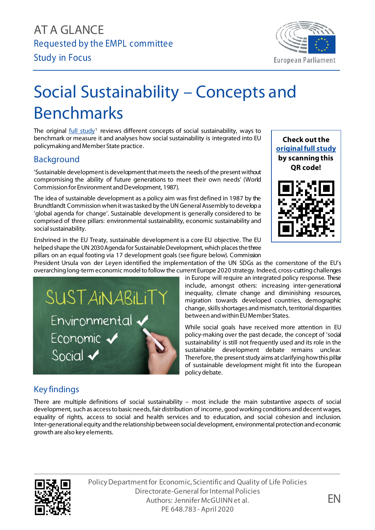

## Social Sustainability – Concepts and Benchmarks

The original  $full$  study<sup>[1](#page-1-0)</sup> reviews different concepts of social sustainability, ways to benchmark or measure it and analyses how social sustainability is integrated into EU policymaking and Member State practice.

## Background

'Sustainable development is development that meets the needs of the present without compromising the ability of future generations to meet their own needs' (World Commission for Environment and Development, 1987).

The idea of sustainable development as a policy aim was first defined in 1987 by the Brundtlandt Commissionwhen it was tasked by the UN General Assembly to develop a 'global agenda for change'. Sustainable development is generally considered to be comprised of three pillars: environmental sustainability, economic sustainability and social sustainability.

Enshrined in the EU Treaty, sustainable development is a core EU objective. The EU helped shape the UN 2030 Agenda for Sustainable Development, which places the three pillars on an equal footing via 17 development goals (see figure below). Commission



President Ursula von der Leyen identified the implementation of the UN SDGs as the cornerstone of the EU's overarching long-term economic model to follow the current Europe 2020 strategy. Indeed, cross-cutting challenges

SUSTAINABILITY Environmental v Economic V Social  $\checkmark$ 

in Europe will require an integrated policy response. These include, amongst others: increasing inter-generational inequality, climate change and diminishing resources, migration towards developed countries, demographic change, skills shortages and mismatch, territorial disparities between and within EUMember States.

While social goals have received more attention in EU policy-making over the past decade, the concept of 'social sustainability' is still not frequently used and its role in the sustainable development debate remains unclear. Therefore, the present study aims at clarifying how this pillar of sustainable development might fit into the European policy debate.

## Key findings

There are multiple definitions of social sustainability – most include the main substantive aspects of social development, such as access to basic needs, fair distribution of income, good working conditions and decent wages, equality of rights, access to social and health services and to education, and social cohesion and inclusion. Inter-generational equity and the relationship betweensocial development, environmental protection and economic growth are also key elements.



exercise Constantinum and Sherces and Theorem Constantinum and the Constantinum and Theorem Constantinum and Co Policy Department for Economic, Scientific and Quality of Life Policies Directorate-General for Internal Policies PE 648.783 - April 2020